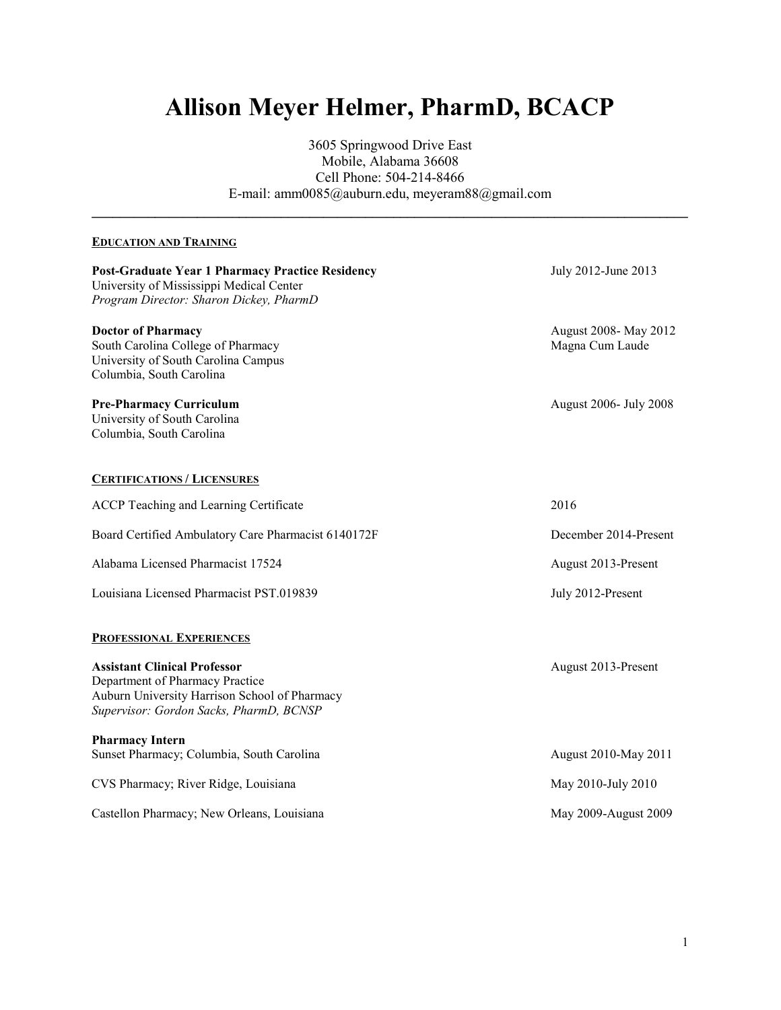# **Allison Meyer Helmer, PharmD, BCACP**

3605 Springwood Drive East Mobile, Alabama 36608 Cell Phone: 504-214-8466 E-mail: amm0085@auburn.edu, meyeram88@gmail.com

**\_\_\_\_\_\_\_\_\_\_\_\_\_\_\_\_\_\_\_\_\_\_\_\_\_\_\_\_\_\_\_\_\_\_\_\_\_\_\_\_\_\_\_\_\_\_\_\_\_\_\_\_\_\_\_\_\_\_\_\_\_\_\_\_\_\_\_\_\_\_\_\_\_\_\_\_\_\_\_\_\_\_\_\_\_**

# **EDUCATION AND TRAINING**

| <b>Post-Graduate Year 1 Pharmacy Practice Residency</b><br>University of Mississippi Medical Center<br>Program Director: Sharon Dickey, PharmD                     | July 2012-June 2013                      |
|--------------------------------------------------------------------------------------------------------------------------------------------------------------------|------------------------------------------|
| <b>Doctor of Pharmacy</b><br>South Carolina College of Pharmacy<br>University of South Carolina Campus<br>Columbia, South Carolina                                 | August 2008- May 2012<br>Magna Cum Laude |
| <b>Pre-Pharmacy Curriculum</b><br>University of South Carolina<br>Columbia, South Carolina                                                                         | August 2006- July 2008                   |
| <b>CERTIFICATIONS / LICENSURES</b>                                                                                                                                 |                                          |
| <b>ACCP</b> Teaching and Learning Certificate                                                                                                                      | 2016                                     |
| Board Certified Ambulatory Care Pharmacist 6140172F                                                                                                                | December 2014-Present                    |
| Alabama Licensed Pharmacist 17524                                                                                                                                  | August 2013-Present                      |
| Louisiana Licensed Pharmacist PST.019839                                                                                                                           | July 2012-Present                        |
| <b>PROFESSIONAL EXPERIENCES</b>                                                                                                                                    |                                          |
| <b>Assistant Clinical Professor</b><br>Department of Pharmacy Practice<br>Auburn University Harrison School of Pharmacy<br>Supervisor: Gordon Sacks, PharmD, BCNSP | August 2013-Present                      |
| <b>Pharmacy Intern</b><br>Sunset Pharmacy; Columbia, South Carolina                                                                                                | August 2010-May 2011                     |
| CVS Pharmacy; River Ridge, Louisiana                                                                                                                               | May 2010-July 2010                       |
| Castellon Pharmacy; New Orleans, Louisiana                                                                                                                         | May 2009-August 2009                     |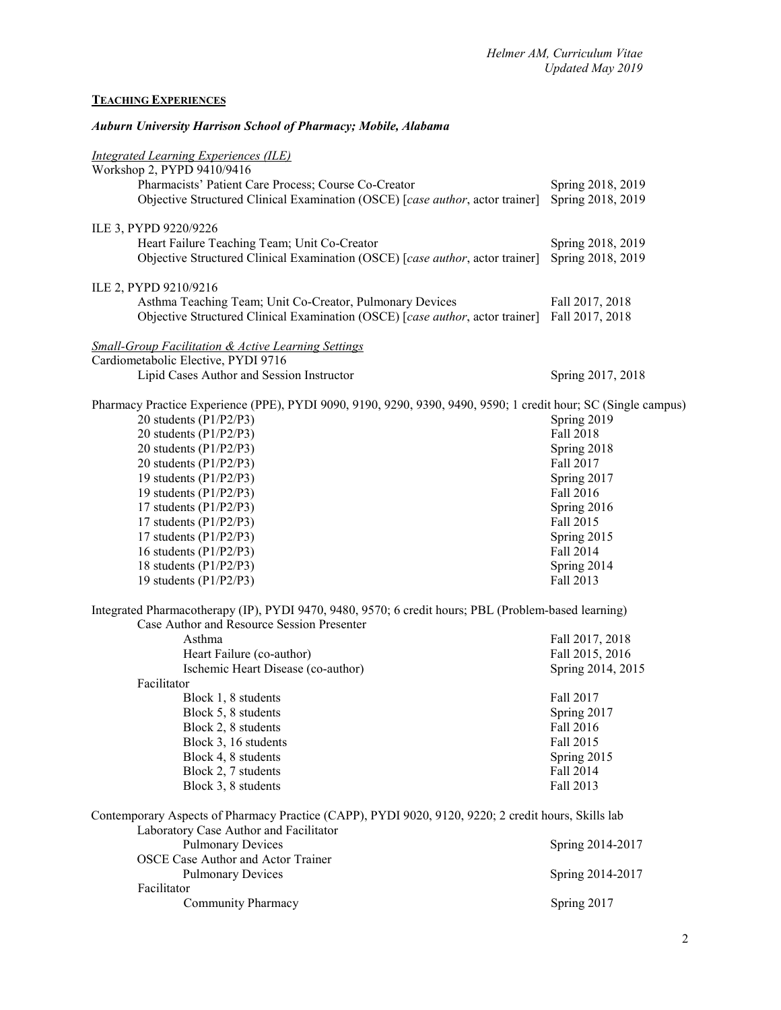# **TEACHING EXPERIENCES**

| <b>Auburn University Harrison School of Pharmacy; Mobile, Alabama</b>                                                                         |                                      |  |
|-----------------------------------------------------------------------------------------------------------------------------------------------|--------------------------------------|--|
| <b>Integrated Learning Experiences (ILE)</b><br>Workshop 2, PYPD 9410/9416                                                                    |                                      |  |
| Pharmacists' Patient Care Process; Course Co-Creator                                                                                          | Spring 2018, 2019                    |  |
| Objective Structured Clinical Examination (OSCE) [case author, actor trainer]                                                                 | Spring 2018, 2019                    |  |
| ILE 3, PYPD 9220/9226                                                                                                                         |                                      |  |
| Heart Failure Teaching Team; Unit Co-Creator                                                                                                  | Spring 2018, 2019                    |  |
| Objective Structured Clinical Examination (OSCE) [case author, actor trainer]                                                                 | Spring 2018, 2019                    |  |
| ILE 2, PYPD 9210/9216                                                                                                                         |                                      |  |
| Asthma Teaching Team; Unit Co-Creator, Pulmonary Devices                                                                                      | Fall 2017, 2018                      |  |
| Objective Structured Clinical Examination (OSCE) [case author, actor trainer]                                                                 | Fall 2017, 2018                      |  |
| <b>Small-Group Facilitation &amp; Active Learning Settings</b><br>Cardiometabolic Elective, PYDI 9716                                         |                                      |  |
| Lipid Cases Author and Session Instructor                                                                                                     | Spring 2017, 2018                    |  |
|                                                                                                                                               |                                      |  |
| Pharmacy Practice Experience (PPE), PYDI 9090, 9190, 9290, 9390, 9490, 9590; 1 credit hour; SC (Single campus)                                |                                      |  |
| 20 students (P1/P2/P3)                                                                                                                        | Spring 2019                          |  |
| 20 students (P1/P2/P3)                                                                                                                        | <b>Fall 2018</b>                     |  |
| 20 students (P1/P2/P3)                                                                                                                        | Spring 2018                          |  |
| 20 students (P1/P2/P3)                                                                                                                        | Fall 2017                            |  |
| 19 students $(P1/P2/P3)$                                                                                                                      | Spring 2017                          |  |
| 19 students (P1/P2/P3)                                                                                                                        | Fall 2016                            |  |
| 17 students $(P1/P2/P3)$                                                                                                                      | Spring 2016                          |  |
| 17 students $(P1/P2/P3)$                                                                                                                      | Fall 2015                            |  |
| 17 students $(P1/P2/P3)$                                                                                                                      | Spring 2015                          |  |
| 16 students $(P1/P2/P3)$                                                                                                                      | Fall 2014                            |  |
| 18 students $(P1/P2/P3)$                                                                                                                      | Spring 2014                          |  |
| 19 students $(P1/P2/P3)$                                                                                                                      | Fall 2013                            |  |
| Integrated Pharmacotherapy (IP), PYDI 9470, 9480, 9570; 6 credit hours; PBL (Problem-based learning)                                          |                                      |  |
| Case Author and Resource Session Presenter                                                                                                    |                                      |  |
| Asthma                                                                                                                                        | Fall 2017, 2018                      |  |
| Heart Failure (co-author)<br>Ischemic Heart Disease (co-author)                                                                               | Fall 2015, 2016<br>Spring 2014, 2015 |  |
| Facilitator                                                                                                                                   |                                      |  |
| Block 1, 8 students                                                                                                                           | Fall 2017                            |  |
| Block 5, 8 students                                                                                                                           | Spring 2017                          |  |
| Block 2, 8 students                                                                                                                           | Fall 2016                            |  |
| Block 3, 16 students                                                                                                                          | Fall 2015                            |  |
| Block 4, 8 students                                                                                                                           | Spring 2015                          |  |
| Block 2, 7 students                                                                                                                           | Fall 2014                            |  |
| Block 3, 8 students                                                                                                                           | Fall 2013                            |  |
|                                                                                                                                               |                                      |  |
| Contemporary Aspects of Pharmacy Practice (CAPP), PYDI 9020, 9120, 9220; 2 credit hours, Skills lab<br>Laboratory Case Author and Facilitator |                                      |  |
| <b>Pulmonary Devices</b>                                                                                                                      | Spring 2014-2017                     |  |
| <b>OSCE Case Author and Actor Trainer</b>                                                                                                     |                                      |  |
| <b>Pulmonary Devices</b>                                                                                                                      | Spring 2014-2017                     |  |
| Facilitator                                                                                                                                   |                                      |  |
| Community Pharmacy                                                                                                                            | Spring 2017                          |  |
|                                                                                                                                               |                                      |  |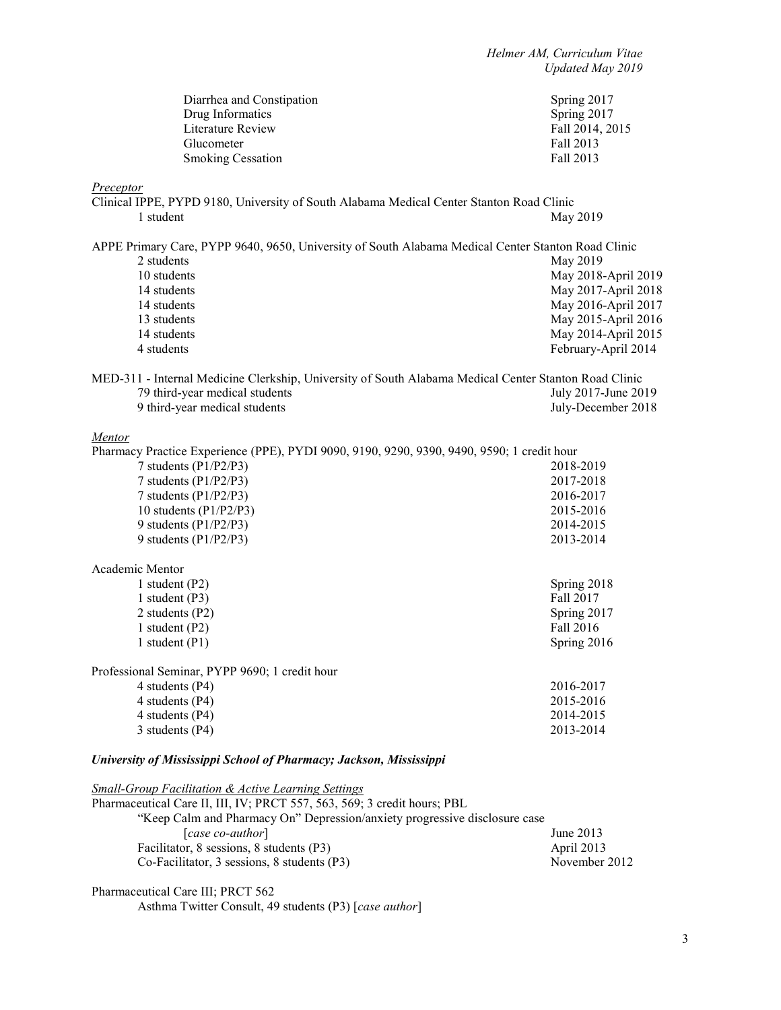| Diarrhea and Constipation<br>Drug Informatics                                                                            | Spring 2017<br>Spring 2017 |
|--------------------------------------------------------------------------------------------------------------------------|----------------------------|
| Literature Review                                                                                                        | Fall 2014, 2015            |
| Glucometer                                                                                                               | Fall 2013                  |
| <b>Smoking Cessation</b>                                                                                                 | Fall 2013                  |
| <b>Preceptor</b>                                                                                                         |                            |
| Clinical IPPE, PYPD 9180, University of South Alabama Medical Center Stanton Road Clinic                                 |                            |
| 1 student                                                                                                                | May 2019                   |
| APPE Primary Care, PYPP 9640, 9650, University of South Alabama Medical Center Stanton Road Clinic                       |                            |
| 2 students                                                                                                               | May 2019                   |
| 10 students                                                                                                              | May 2018-April 2019        |
| 14 students                                                                                                              | May 2017-April 2018        |
| 14 students                                                                                                              | May 2016-April 2017        |
| 13 students                                                                                                              | May 2015-April 2016        |
| 14 students                                                                                                              | May 2014-April 2015        |
| 4 students                                                                                                               | February-April 2014        |
| MED-311 - Internal Medicine Clerkship, University of South Alabama Medical Center Stanton Road Clinic                    |                            |
| 79 third-year medical students                                                                                           | July 2017-June 2019        |
| 9 third-year medical students                                                                                            | July-December 2018         |
| <b>Mentor</b>                                                                                                            |                            |
| Pharmacy Practice Experience (PPE), PYDI 9090, 9190, 9290, 9390, 9490, 9590; 1 credit hour                               |                            |
| 7 students (P1/P2/P3)                                                                                                    | 2018-2019                  |
| 7 students (P1/P2/P3)                                                                                                    | 2017-2018                  |
| 7 students (P1/P2/P3)                                                                                                    | 2016-2017                  |
| 10 students $(P1/P2/P3)$                                                                                                 | 2015-2016                  |
| 9 students (P1/P2/P3)                                                                                                    | 2014-2015                  |
| 9 students (P1/P2/P3)                                                                                                    | 2013-2014                  |
| Academic Mentor                                                                                                          |                            |
| 1 student (P2)                                                                                                           | Spring 2018                |
| 1 student $(P3)$                                                                                                         | Fall 2017                  |
| 2 students (P2)                                                                                                          | Spring 2017                |
| 1 student (P2)                                                                                                           | Fall 2016                  |
| 1 student $(P1)$                                                                                                         | Spring 2016                |
| Professional Seminar, PYPP 9690; 1 credit hour                                                                           |                            |
| 4 students (P4)                                                                                                          | 2016-2017                  |
| 4 students (P4)                                                                                                          | 2015-2016                  |
| 4 students (P4)                                                                                                          | 2014-2015                  |
| 3 students (P4)                                                                                                          | 2013-2014                  |
| University of Mississippi School of Pharmacy; Jackson, Mississippi                                                       |                            |
| Small-Group Facilitation & Active Learning Settings<br>Pharmacoutical Cara II, III, IV: PRCT 557, 562, 560, 2 and it has |                            |
|                                                                                                                          |                            |

| Pharmaceutical Care II, III, IV; PRCT 557, 563, 569; 3 credit hours; PBL   |               |
|----------------------------------------------------------------------------|---------------|
| "Keep Calm and Pharmacy On" Depression/anxiety progressive disclosure case |               |
| [case co-author]                                                           | June $2013$   |
| Facilitator, 8 sessions, 8 students (P3)                                   | April 2013    |
| Co-Facilitator, 3 sessions, 8 students (P3)                                | November 2012 |

Pharmaceutical Care III; PRCT 562

Asthma Twitter Consult, 49 students (P3) [*case author*]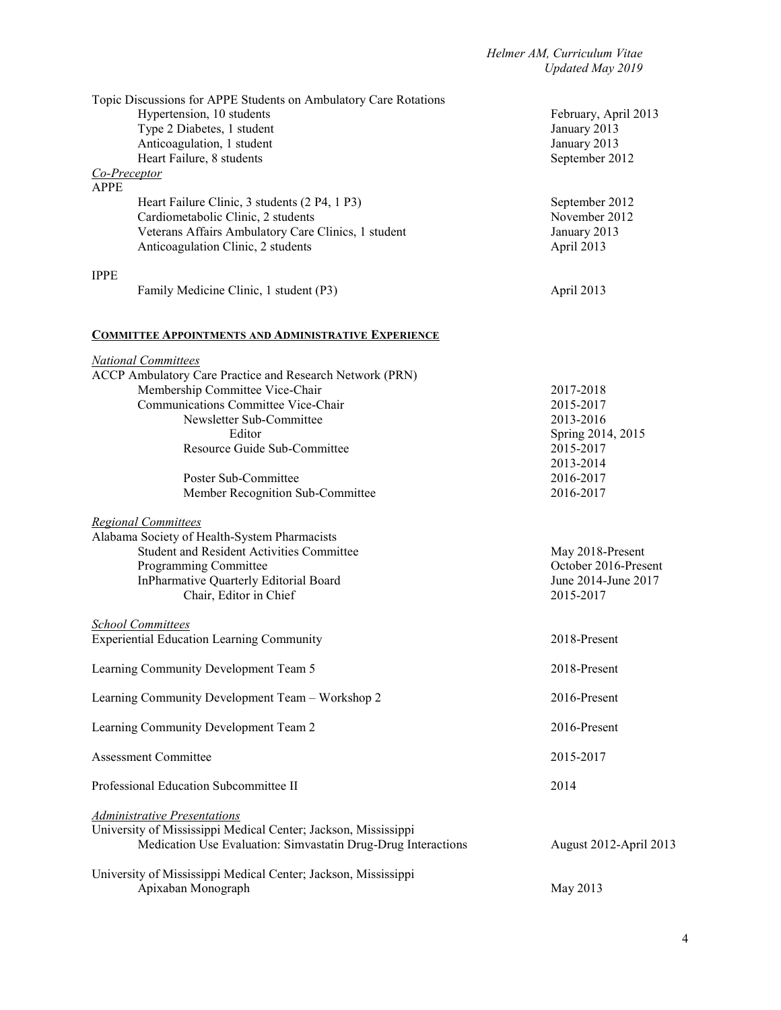| Topic Discussions for APPE Students on Ambulatory Care Rotations |                        |
|------------------------------------------------------------------|------------------------|
| Hypertension, 10 students                                        | February, April 2013   |
| Type 2 Diabetes, 1 student                                       | January 2013           |
| Anticoagulation, 1 student                                       | January 2013           |
| Heart Failure, 8 students                                        | September 2012         |
| Co-Preceptor<br><b>APPE</b>                                      |                        |
| Heart Failure Clinic, 3 students (2 P4, 1 P3)                    | September 2012         |
| Cardiometabolic Clinic, 2 students                               | November 2012          |
| Veterans Affairs Ambulatory Care Clinics, 1 student              | January 2013           |
| Anticoagulation Clinic, 2 students                               | April 2013             |
|                                                                  |                        |
| <b>IPPE</b>                                                      |                        |
| Family Medicine Clinic, 1 student (P3)                           | April 2013             |
| <b>COMMITTEE APPOINTMENTS AND ADMINISTRATIVE EXPERIENCE</b>      |                        |
| <b>National Committees</b>                                       |                        |
| ACCP Ambulatory Care Practice and Research Network (PRN)         |                        |
| Membership Committee Vice-Chair                                  | 2017-2018              |
| Communications Committee Vice-Chair                              | 2015-2017              |
| Newsletter Sub-Committee                                         | 2013-2016              |
| Editor                                                           | Spring 2014, 2015      |
| Resource Guide Sub-Committee                                     | 2015-2017              |
|                                                                  | 2013-2014              |
| Poster Sub-Committee                                             | 2016-2017              |
| Member Recognition Sub-Committee                                 | 2016-2017              |
|                                                                  |                        |
| <b>Regional Committees</b>                                       |                        |
| Alabama Society of Health-System Pharmacists                     |                        |
| <b>Student and Resident Activities Committee</b>                 | May 2018-Present       |
| Programming Committee                                            | October 2016-Present   |
| InPharmative Quarterly Editorial Board                           | June 2014-June 2017    |
| Chair, Editor in Chief                                           | 2015-2017              |
|                                                                  |                        |
| <b>School Committees</b>                                         |                        |
| <b>Experiential Education Learning Community</b>                 | 2018-Present           |
|                                                                  |                        |
| Learning Community Development Team 5                            | 2018-Present           |
|                                                                  |                        |
| Learning Community Development Team - Workshop 2                 | 2016-Present           |
|                                                                  |                        |
| Learning Community Development Team 2                            | 2016-Present           |
|                                                                  |                        |
| <b>Assessment Committee</b>                                      | 2015-2017              |
|                                                                  |                        |
| Professional Education Subcommittee II                           | 2014                   |
|                                                                  |                        |
| <b>Administrative Presentations</b>                              |                        |
| University of Mississippi Medical Center; Jackson, Mississippi   |                        |
| Medication Use Evaluation: Simvastatin Drug-Drug Interactions    | August 2012-April 2013 |
|                                                                  |                        |
| University of Mississippi Medical Center; Jackson, Mississippi   |                        |
| Apixaban Monograph                                               | May 2013               |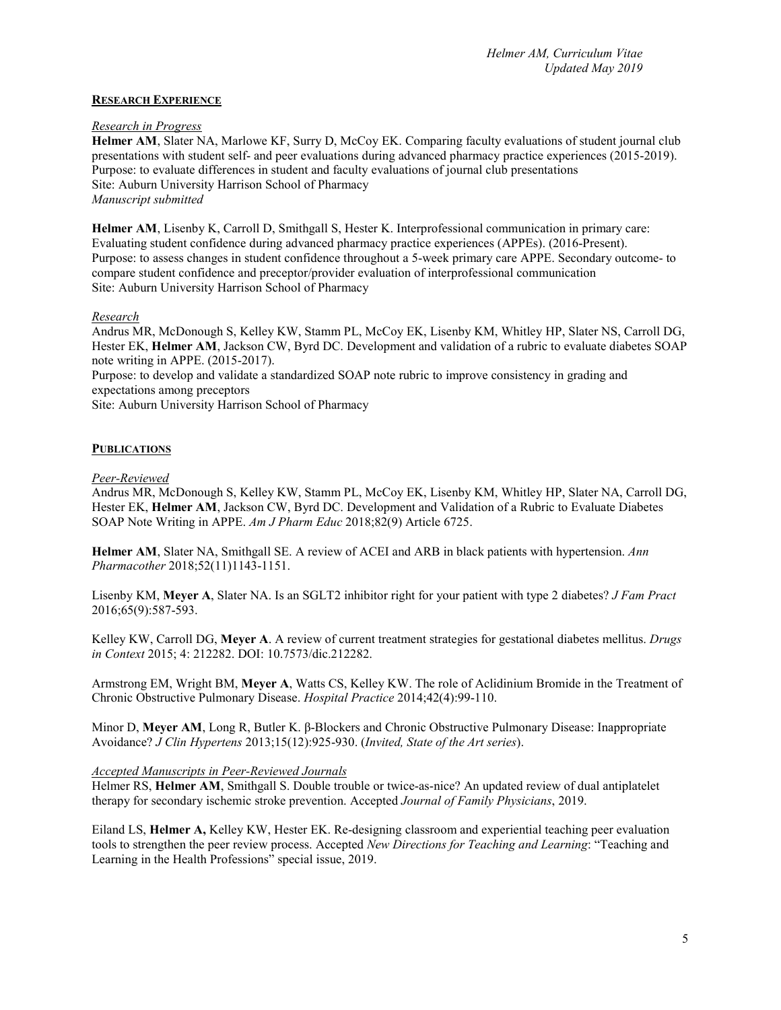#### **RESEARCH EXPERIENCE**

#### *Research in Progress*

**Helmer AM**, Slater NA, Marlowe KF, Surry D, McCoy EK. Comparing faculty evaluations of student journal club presentations with student self- and peer evaluations during advanced pharmacy practice experiences (2015-2019). Purpose: to evaluate differences in student and faculty evaluations of journal club presentations Site: Auburn University Harrison School of Pharmacy *Manuscript submitted*

**Helmer AM**, Lisenby K, Carroll D, Smithgall S, Hester K. Interprofessional communication in primary care: Evaluating student confidence during advanced pharmacy practice experiences (APPEs). (2016-Present). Purpose: to assess changes in student confidence throughout a 5-week primary care APPE. Secondary outcome- to compare student confidence and preceptor/provider evaluation of interprofessional communication Site: Auburn University Harrison School of Pharmacy

# *Research*

Andrus MR, McDonough S, Kelley KW, Stamm PL, McCoy EK, Lisenby KM, Whitley HP, Slater NS, Carroll DG, Hester EK, **Helmer AM**, Jackson CW, Byrd DC. Development and validation of a rubric to evaluate diabetes SOAP note writing in APPE. (2015-2017).

Purpose: to develop and validate a standardized SOAP note rubric to improve consistency in grading and expectations among preceptors

Site: Auburn University Harrison School of Pharmacy

# **PUBLICATIONS**

# *Peer-Reviewed*

Andrus MR, McDonough S, Kelley KW, Stamm PL, McCoy EK, Lisenby KM, Whitley HP, Slater NA, Carroll DG, Hester EK, **Helmer AM**, Jackson CW, Byrd DC. Development and Validation of a Rubric to Evaluate Diabetes SOAP Note Writing in APPE. *Am J Pharm Educ* 2018;82(9) Article 6725.

**Helmer AM**, Slater NA, Smithgall SE. A review of ACEI and ARB in black patients with hypertension. *Ann Pharmacother* 2018;52(11)1143-1151.

Lisenby KM, **Meyer A**, Slater NA. Is an SGLT2 inhibitor right for your patient with type 2 diabetes? *J Fam Pract*  2016;65(9):587-593.

Kelley KW, Carroll DG, **Meyer A**. A review of current treatment strategies for gestational diabetes mellitus. *Drugs in Context* 2015; 4: 212282. DOI: 10.7573/dic.212282.

Armstrong EM, Wright BM, **Meyer A**, Watts CS, Kelley KW. The role of Aclidinium Bromide in the Treatment of Chronic Obstructive Pulmonary Disease. *Hospital Practice* 2014;42(4):99-110.

Minor D, **Meyer AM**, Long R, Butler K. β-Blockers and Chronic Obstructive Pulmonary Disease: Inappropriate Avoidance? *J Clin Hypertens* 2013;15(12):925-930. (*Invited, State of the Art series*).

# *Accepted Manuscripts in Peer-Reviewed Journals*

Helmer RS, **Helmer AM**, Smithgall S. Double trouble or twice-as-nice? An updated review of dual antiplatelet therapy for secondary ischemic stroke prevention. Accepted *Journal of Family Physicians*, 2019.

Eiland LS, **Helmer A,** Kelley KW, Hester EK. Re-designing classroom and experiential teaching peer evaluation tools to strengthen the peer review process. Accepted *New Directions for Teaching and Learning*: "Teaching and Learning in the Health Professions" special issue, 2019.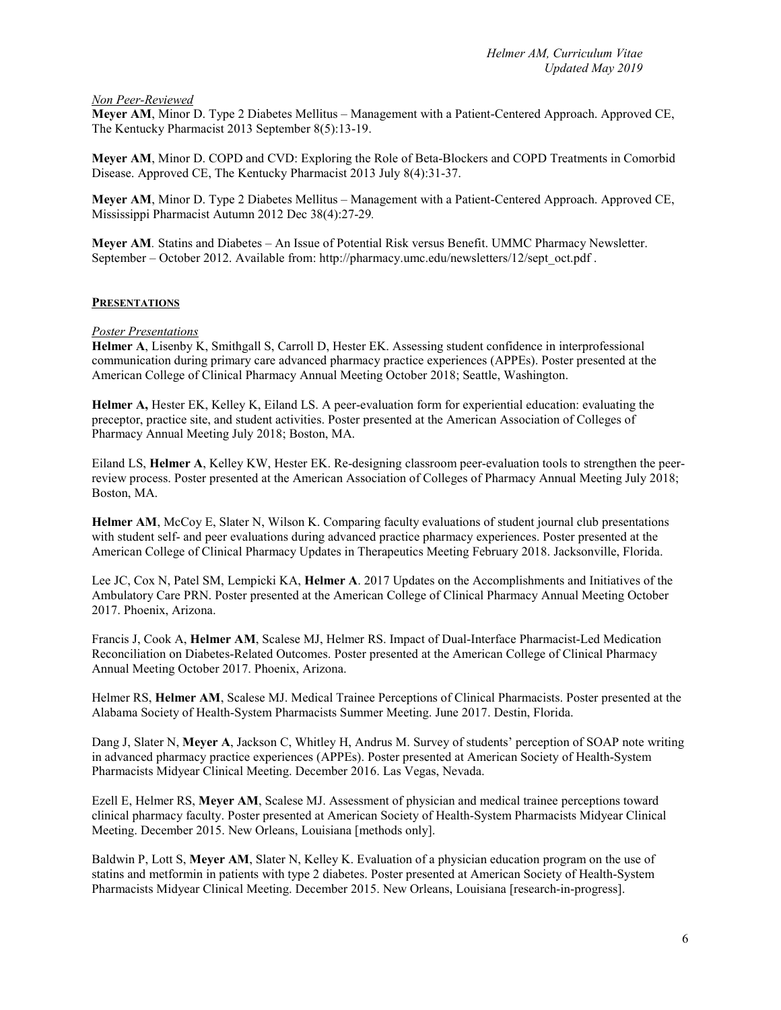#### *Non Peer-Reviewed*

**Meyer AM**, Minor D. Type 2 Diabetes Mellitus – Management with a Patient-Centered Approach. Approved CE, The Kentucky Pharmacist 2013 September 8(5):13-19.

**Meyer AM**, Minor D. COPD and CVD: Exploring the Role of Beta-Blockers and COPD Treatments in Comorbid Disease. Approved CE, The Kentucky Pharmacist 2013 July 8(4):31-37.

**Meyer AM**, Minor D. Type 2 Diabetes Mellitus – Management with a Patient-Centered Approach. Approved CE, Mississippi Pharmacist Autumn 2012 Dec 38(4):27-29*.*

**Meyer AM***.* Statins and Diabetes – An Issue of Potential Risk versus Benefit. UMMC Pharmacy Newsletter. September – October 2012. Available from: http://pharmacy.umc.edu/newsletters/12/sept\_oct.pdf .

# **PRESENTATIONS**

# *Poster Presentations*

**Helmer A**, Lisenby K, Smithgall S, Carroll D, Hester EK. Assessing student confidence in interprofessional communication during primary care advanced pharmacy practice experiences (APPEs). Poster presented at the American College of Clinical Pharmacy Annual Meeting October 2018; Seattle, Washington.

**Helmer A,** Hester EK, Kelley K, Eiland LS. A peer-evaluation form for experiential education: evaluating the preceptor, practice site, and student activities. Poster presented at the American Association of Colleges of Pharmacy Annual Meeting July 2018; Boston, MA.

Eiland LS, **Helmer A**, Kelley KW, Hester EK. Re-designing classroom peer-evaluation tools to strengthen the peerreview process. Poster presented at the American Association of Colleges of Pharmacy Annual Meeting July 2018; Boston, MA.

**Helmer AM**, McCoy E, Slater N, Wilson K. Comparing faculty evaluations of student journal club presentations with student self- and peer evaluations during advanced practice pharmacy experiences. Poster presented at the American College of Clinical Pharmacy Updates in Therapeutics Meeting February 2018. Jacksonville, Florida.

Lee JC, Cox N, Patel SM, Lempicki KA, **Helmer A**. 2017 Updates on the Accomplishments and Initiatives of the Ambulatory Care PRN. Poster presented at the American College of Clinical Pharmacy Annual Meeting October 2017. Phoenix, Arizona.

Francis J, Cook A, **Helmer AM**, Scalese MJ, Helmer RS. Impact of Dual-Interface Pharmacist-Led Medication Reconciliation on Diabetes-Related Outcomes. Poster presented at the American College of Clinical Pharmacy Annual Meeting October 2017. Phoenix, Arizona.

Helmer RS, **Helmer AM**, Scalese MJ. Medical Trainee Perceptions of Clinical Pharmacists. Poster presented at the Alabama Society of Health-System Pharmacists Summer Meeting. June 2017. Destin, Florida.

Dang J, Slater N, **Meyer A**, Jackson C, Whitley H, Andrus M. Survey of students' perception of SOAP note writing in advanced pharmacy practice experiences (APPEs). Poster presented at American Society of Health-System Pharmacists Midyear Clinical Meeting. December 2016. Las Vegas, Nevada.

Ezell E, Helmer RS, **Meyer AM**, Scalese MJ. Assessment of physician and medical trainee perceptions toward clinical pharmacy faculty. Poster presented at American Society of Health-System Pharmacists Midyear Clinical Meeting. December 2015. New Orleans, Louisiana [methods only].

Baldwin P, Lott S, **Meyer AM**, Slater N, Kelley K. Evaluation of a physician education program on the use of statins and metformin in patients with type 2 diabetes. Poster presented at American Society of Health-System Pharmacists Midyear Clinical Meeting. December 2015. New Orleans, Louisiana [research-in-progress].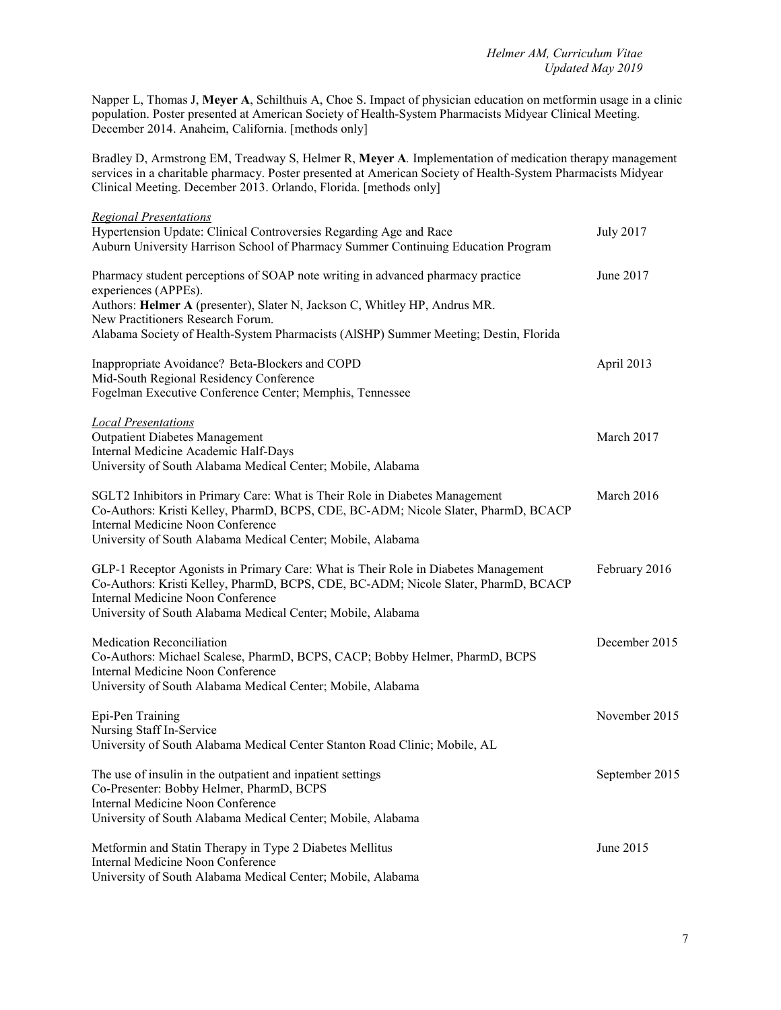Napper L, Thomas J, **Meyer A**, Schilthuis A, Choe S. Impact of physician education on metformin usage in a clinic population. Poster presented at American Society of Health-System Pharmacists Midyear Clinical Meeting. December 2014. Anaheim, California. [methods only]

Bradley D, Armstrong EM, Treadway S, Helmer R, **Meyer A***.* Implementation of medication therapy management services in a charitable pharmacy. Poster presented at American Society of Health-System Pharmacists Midyear Clinical Meeting. December 2013. Orlando, Florida. [methods only]

| <b>Regional Presentations</b><br>Hypertension Update: Clinical Controversies Regarding Age and Race<br>Auburn University Harrison School of Pharmacy Summer Continuing Education Program                                                                                     | <b>July 2017</b> |
|------------------------------------------------------------------------------------------------------------------------------------------------------------------------------------------------------------------------------------------------------------------------------|------------------|
| Pharmacy student perceptions of SOAP note writing in advanced pharmacy practice<br>experiences (APPEs).                                                                                                                                                                      | June 2017        |
| Authors: Helmer A (presenter), Slater N, Jackson C, Whitley HP, Andrus MR.<br>New Practitioners Research Forum.                                                                                                                                                              |                  |
| Alabama Society of Health-System Pharmacists (AlSHP) Summer Meeting; Destin, Florida                                                                                                                                                                                         |                  |
| Inappropriate Avoidance? Beta-Blockers and COPD<br>Mid-South Regional Residency Conference                                                                                                                                                                                   | April 2013       |
| Fogelman Executive Conference Center; Memphis, Tennessee                                                                                                                                                                                                                     |                  |
| <b>Local Presentations</b><br><b>Outpatient Diabetes Management</b><br>Internal Medicine Academic Half-Days                                                                                                                                                                  | March 2017       |
| University of South Alabama Medical Center; Mobile, Alabama                                                                                                                                                                                                                  |                  |
| SGLT2 Inhibitors in Primary Care: What is Their Role in Diabetes Management<br>Co-Authors: Kristi Kelley, PharmD, BCPS, CDE, BC-ADM; Nicole Slater, PharmD, BCACP<br>Internal Medicine Noon Conference<br>University of South Alabama Medical Center; Mobile, Alabama        | March 2016       |
| GLP-1 Receptor Agonists in Primary Care: What is Their Role in Diabetes Management<br>Co-Authors: Kristi Kelley, PharmD, BCPS, CDE, BC-ADM; Nicole Slater, PharmD, BCACP<br>Internal Medicine Noon Conference<br>University of South Alabama Medical Center; Mobile, Alabama | February 2016    |
| Medication Reconciliation<br>Co-Authors: Michael Scalese, PharmD, BCPS, CACP; Bobby Helmer, PharmD, BCPS<br>Internal Medicine Noon Conference<br>University of South Alabama Medical Center; Mobile, Alabama                                                                 | December 2015    |
| Epi-Pen Training<br>Nursing Staff In-Service                                                                                                                                                                                                                                 | November 2015    |
| University of South Alabama Medical Center Stanton Road Clinic; Mobile, AL                                                                                                                                                                                                   |                  |
| The use of insulin in the outpatient and inpatient settings<br>Co-Presenter: Bobby Helmer, PharmD, BCPS                                                                                                                                                                      | September 2015   |
| Internal Medicine Noon Conference<br>University of South Alabama Medical Center; Mobile, Alabama                                                                                                                                                                             |                  |
| Metformin and Statin Therapy in Type 2 Diabetes Mellitus<br>Internal Medicine Noon Conference<br>University of South Alabama Medical Center; Mobile, Alabama                                                                                                                 | June 2015        |